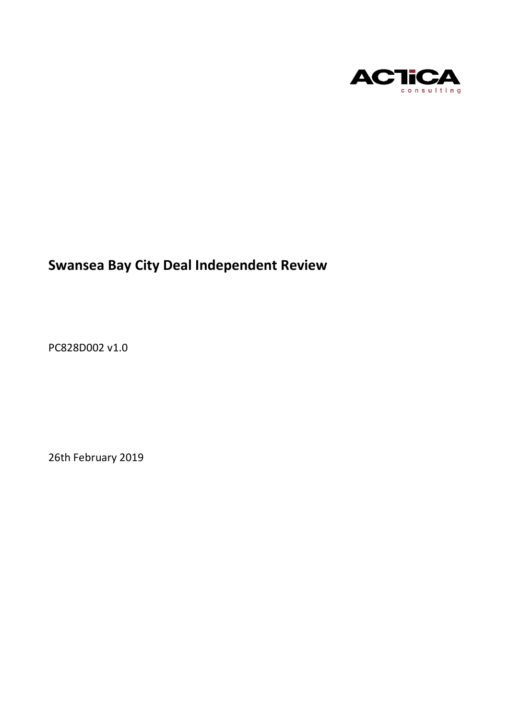

# **Swansea Bay City Deal Independent Review**

PC828D002 v1.0

26th February 2019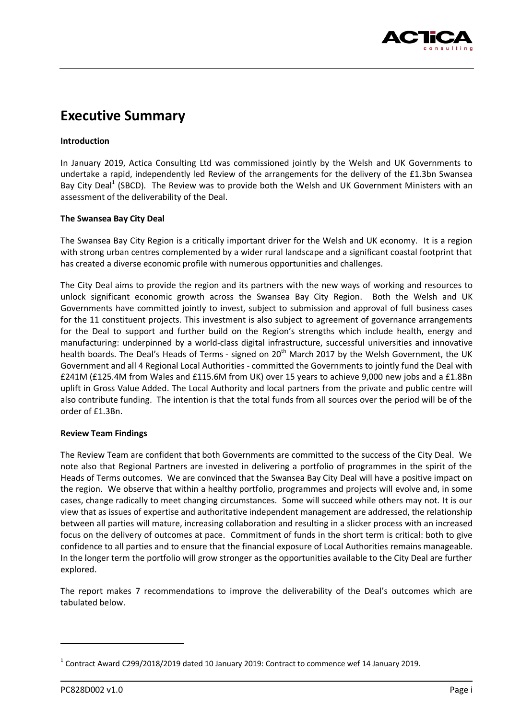

# **Executive Summary**

# **Introduction**

In January 2019, Actica Consulting Ltd was commissioned jointly by the Welsh and UK Governments to undertake a rapid, independently led Review of the arrangements for the delivery of the £1.3bn Swansea Bay City Deal<sup>1</sup> (SBCD). The Review was to provide both the Welsh and UK Government Ministers with an assessment of the deliverability of the Deal.

## **The Swansea Bay City Deal**

The Swansea Bay City Region is a critically important driver for the Welsh and UK economy. It is a region with strong urban centres complemented by a wider rural landscape and a significant coastal footprint that has created a diverse economic profile with numerous opportunities and challenges.

The City Deal aims to provide the region and its partners with the new ways of working and resources to unlock significant economic growth across the Swansea Bay City Region. Both the Welsh and UK Governments have committed jointly to invest, subject to submission and approval of full business cases for the 11 constituent projects. This investment is also subject to agreement of governance arrangements for the Deal to support and further build on the Region's strengths which include health, energy and manufacturing: underpinned by a world-class digital infrastructure, successful universities and innovative health boards. The Deal's Heads of Terms - signed on 20<sup>th</sup> March 2017 by the Welsh Government, the UK Government and all 4 Regional Local Authorities - committed the Governments to jointly fund the Deal with £241M (£125.4M from Wales and £115.6M from UK) over 15 years to achieve 9,000 new jobs and a £1.8Bn uplift in Gross Value Added. The Local Authority and local partners from the private and public centre will also contribute funding. The intention is that the total funds from all sources over the period will be of the order of £1.3Bn.

### **Review Team Findings**

The Review Team are confident that both Governments are committed to the success of the City Deal. We note also that Regional Partners are invested in delivering a portfolio of programmes in the spirit of the Heads of Terms outcomes. We are convinced that the Swansea Bay City Deal will have a positive impact on the region. We observe that within a healthy portfolio, programmes and projects will evolve and, in some cases, change radically to meet changing circumstances. Some will succeed while others may not. It is our view that as issues of expertise and authoritative independent management are addressed, the relationship between all parties will mature, increasing collaboration and resulting in a slicker process with an increased focus on the delivery of outcomes at pace. Commitment of funds in the short term is critical: both to give confidence to all parties and to ensure that the financial exposure of Local Authorities remains manageable. In the longer term the portfolio will grow stronger as the opportunities available to the City Deal are further explored.

The report makes 7 recommendations to improve the deliverability of the Deal's outcomes which are tabulated below.

-

 $^1$  Contract Award C299/2018/2019 dated 10 January 2019: Contract to commence wef 14 January 2019.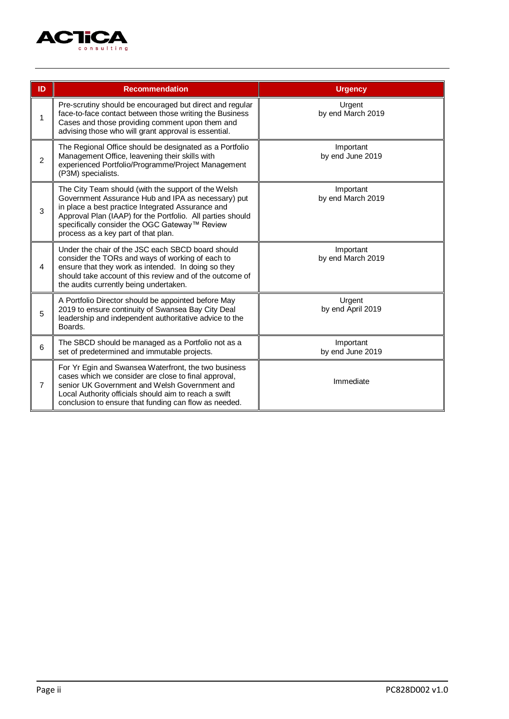

| ID             | <b>Recommendation</b>                                                                                                                                                                                                                                                                                                | <b>Urgency</b>                 |
|----------------|----------------------------------------------------------------------------------------------------------------------------------------------------------------------------------------------------------------------------------------------------------------------------------------------------------------------|--------------------------------|
| 1              | Pre-scrutiny should be encouraged but direct and regular<br>face-to-face contact between those writing the Business<br>Cases and those providing comment upon them and<br>advising those who will grant approval is essential.                                                                                       | Urgent<br>by end March 2019    |
| $\overline{2}$ | The Regional Office should be designated as a Portfolio<br>Management Office, leavening their skills with<br>experienced Portfolio/Programme/Project Management<br>(P3M) specialists.                                                                                                                                | Important<br>by end June 2019  |
| 3              | The City Team should (with the support of the Welsh<br>Government Assurance Hub and IPA as necessary) put<br>in place a best practice Integrated Assurance and<br>Approval Plan (IAAP) for the Portfolio. All parties should<br>specifically consider the OGC Gateway™ Review<br>process as a key part of that plan. | Important<br>by end March 2019 |
| 4              | Under the chair of the JSC each SBCD board should<br>consider the TORs and ways of working of each to<br>ensure that they work as intended. In doing so they<br>should take account of this review and of the outcome of<br>the audits currently being undertaken.                                                   | Important<br>by end March 2019 |
| 5              | A Portfolio Director should be appointed before May<br>2019 to ensure continuity of Swansea Bay City Deal<br>leadership and independent authoritative advice to the<br>Boards.                                                                                                                                       | Urgent<br>by end April 2019    |
| 6              | The SBCD should be managed as a Portfolio not as a<br>set of predetermined and immutable projects.                                                                                                                                                                                                                   | Important<br>by end June 2019  |
| $\overline{7}$ | For Yr Egin and Swansea Waterfront, the two business<br>cases which we consider are close to final approval,<br>senior UK Government and Welsh Government and<br>Local Authority officials should aim to reach a swift<br>conclusion to ensure that funding can flow as needed.                                      | Immediate                      |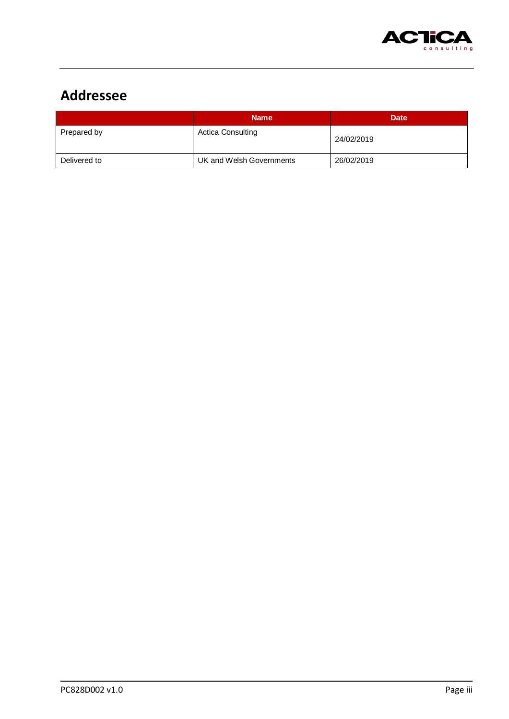

# **Addressee**

|              | <b>Name</b>              | <b>Date</b> |
|--------------|--------------------------|-------------|
| Prepared by  | <b>Actica Consulting</b> | 24/02/2019  |
| Delivered to | UK and Welsh Governments | 26/02/2019  |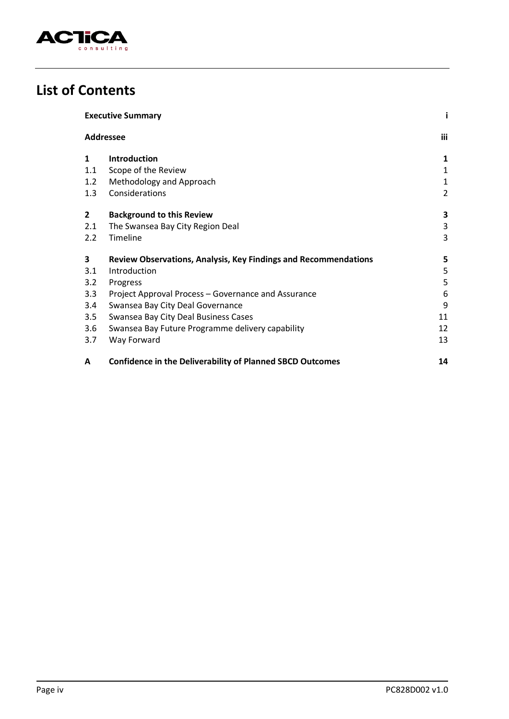

# **List of Contents**

|                         | <b>Executive Summary</b>                                               |                |  |
|-------------------------|------------------------------------------------------------------------|----------------|--|
|                         | <b>Addressee</b>                                                       | <b>iii</b>     |  |
| 1                       | <b>Introduction</b>                                                    | $\mathbf{1}$   |  |
| 1.1                     | Scope of the Review                                                    | $\mathbf{1}$   |  |
| 1.2                     | Methodology and Approach                                               | $\mathbf{1}$   |  |
| 1.3                     | Considerations                                                         | $\overline{2}$ |  |
| $\mathbf{2}$            | <b>Background to this Review</b>                                       | 3              |  |
| 2.1                     | The Swansea Bay City Region Deal                                       | 3              |  |
| 2.2                     | Timeline                                                               | 3              |  |
| $\overline{\mathbf{3}}$ | <b>Review Observations, Analysis, Key Findings and Recommendations</b> | 5              |  |
| 3.1                     | Introduction                                                           | 5              |  |
| 3.2                     | Progress                                                               | 5              |  |
| 3.3                     | Project Approval Process – Governance and Assurance                    | 6              |  |
| 3.4                     | Swansea Bay City Deal Governance                                       | 9              |  |
| 3.5                     | Swansea Bay City Deal Business Cases                                   | 11             |  |
| 3.6                     | Swansea Bay Future Programme delivery capability                       | 12             |  |
| 3.7                     | Way Forward                                                            | 13             |  |
| A                       | <b>Confidence in the Deliverability of Planned SBCD Outcomes</b>       | 14             |  |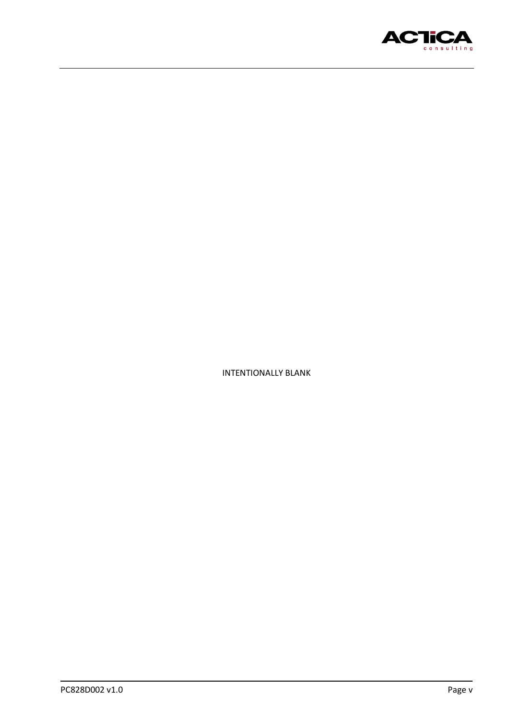

INTENTIONALLY BLANK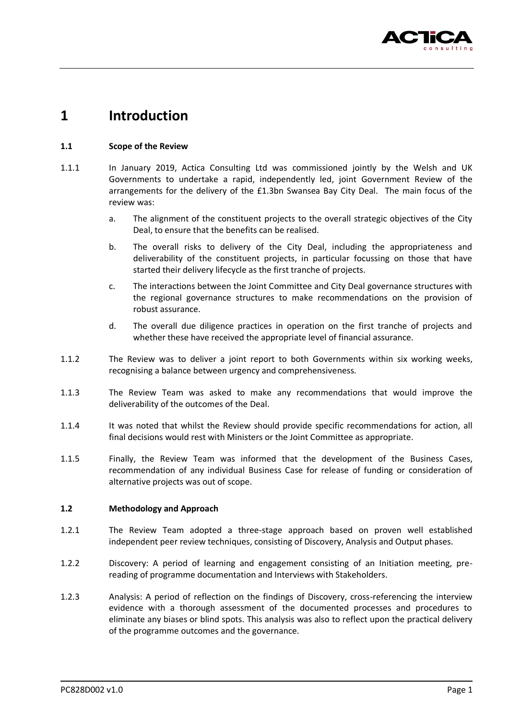

# **1 Introduction**

## **1.1 Scope of the Review**

- 1.1.1 In January 2019, Actica Consulting Ltd was commissioned jointly by the Welsh and UK Governments to undertake a rapid, independently led, joint Government Review of the arrangements for the delivery of the £1.3bn Swansea Bay City Deal. The main focus of the review was:
	- a. The alignment of the constituent projects to the overall strategic objectives of the City Deal, to ensure that the benefits can be realised.
	- b. The overall risks to delivery of the City Deal, including the appropriateness and deliverability of the constituent projects, in particular focussing on those that have started their delivery lifecycle as the first tranche of projects.
	- c. The interactions between the Joint Committee and City Deal governance structures with the regional governance structures to make recommendations on the provision of robust assurance.
	- d. The overall due diligence practices in operation on the first tranche of projects and whether these have received the appropriate level of financial assurance.
- 1.1.2 The Review was to deliver a joint report to both Governments within six working weeks, recognising a balance between urgency and comprehensiveness.
- 1.1.3 The Review Team was asked to make any recommendations that would improve the deliverability of the outcomes of the Deal.
- 1.1.4 It was noted that whilst the Review should provide specific recommendations for action, all final decisions would rest with Ministers or the Joint Committee as appropriate.
- 1.1.5 Finally, the Review Team was informed that the development of the Business Cases, recommendation of any individual Business Case for release of funding or consideration of alternative projects was out of scope.

### **1.2 Methodology and Approach**

- 1.2.1 The Review Team adopted a three-stage approach based on proven well established independent peer review techniques, consisting of Discovery, Analysis and Output phases.
- 1.2.2 Discovery: A period of learning and engagement consisting of an Initiation meeting, prereading of programme documentation and Interviews with Stakeholders.
- 1.2.3 Analysis: A period of reflection on the findings of Discovery, cross-referencing the interview evidence with a thorough assessment of the documented processes and procedures to eliminate any biases or blind spots. This analysis was also to reflect upon the practical delivery of the programme outcomes and the governance.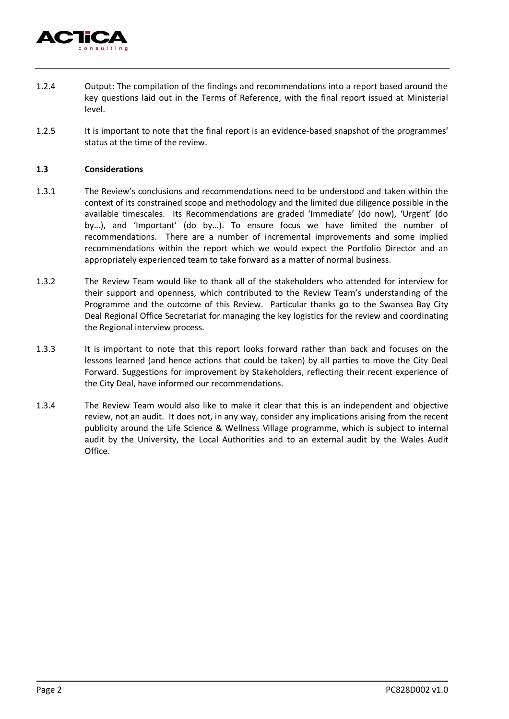

- 1.2.4 Output: The compilation of the findings and recommendations into a report based around the key questions laid out in the Terms of Reference, with the final report issued at Ministerial level.
- 1.2.5 It is important to note that the final report is an evidence-based snapshot of the programmes' status at the time of the review.

#### **1.3 Considerations**

- 1.3.1 The Review's conclusions and recommendations need to be understood and taken within the context of its constrained scope and methodology and the limited due diligence possible in the available timescales. Its Recommendations are graded 'Immediate' (do now), 'Urgent' (do by…), and 'Important' (do by…). To ensure focus we have limited the number of recommendations. There are a number of incremental improvements and some implied recommendations within the report which we would expect the Portfolio Director and an appropriately experienced team to take forward as a matter of normal business.
- 1.3.2 The Review Team would like to thank all of the stakeholders who attended for interview for their support and openness, which contributed to the Review Team's understanding of the Programme and the outcome of this Review. Particular thanks go to the Swansea Bay City Deal Regional Office Secretariat for managing the key logistics for the review and coordinating the Regional interview process.
- 1.3.3 It is important to note that this report looks forward rather than back and focuses on the lessons learned (and hence actions that could be taken) by all parties to move the City Deal Forward. Suggestions for improvement by Stakeholders, reflecting their recent experience of the City Deal, have informed our recommendations.
- 1.3.4 The Review Team would also like to make it clear that this is an independent and objective review, not an audit. It does not, in any way, consider any implications arising from the recent publicity around the Life Science & Wellness Village programme, which is subject to internal audit by the University, the Local Authorities and to an external audit by the Wales Audit Office.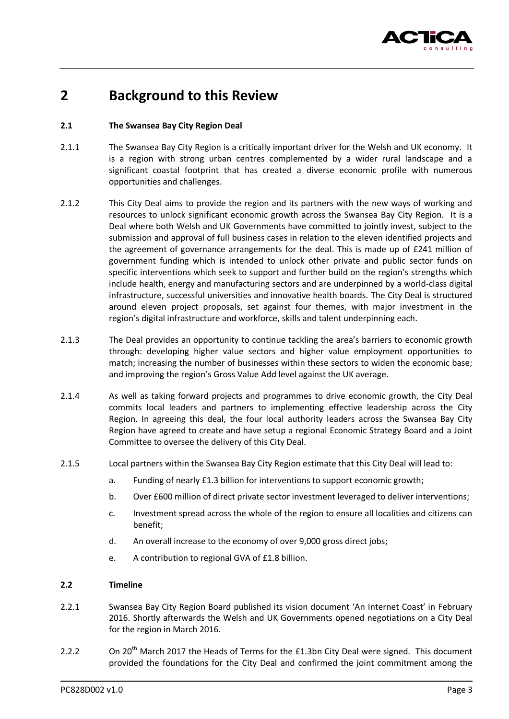

# **2 Background to this Review**

# **2.1 The Swansea Bay City Region Deal**

- 2.1.1 The Swansea Bay City Region is a critically important driver for the Welsh and UK economy. It is a region with strong urban centres complemented by a wider rural landscape and a significant coastal footprint that has created a diverse economic profile with numerous opportunities and challenges.
- 2.1.2 This City Deal aims to provide the region and its partners with the new ways of working and resources to unlock significant economic growth across the Swansea Bay City Region. It is a Deal where both Welsh and UK Governments have committed to jointly invest, subject to the submission and approval of full business cases in relation to the eleven identified projects and the agreement of governance arrangements for the deal. This is made up of £241 million of government funding which is intended to unlock other private and public sector funds on specific interventions which seek to support and further build on the region's strengths which include health, energy and manufacturing sectors and are underpinned by a world-class digital infrastructure, successful universities and innovative health boards. The City Deal is structured around eleven project proposals, set against four themes, with major investment in the region's digital infrastructure and workforce, skills and talent underpinning each.
- 2.1.3 The Deal provides an opportunity to continue tackling the area's barriers to economic growth through: developing higher value sectors and higher value employment opportunities to match; increasing the number of businesses within these sectors to widen the economic base; and improving the region's Gross Value Add level against the UK average.
- 2.1.4 As well as taking forward projects and programmes to drive economic growth, the City Deal commits local leaders and partners to implementing effective leadership across the City Region. In agreeing this deal, the four local authority leaders across the Swansea Bay City Region have agreed to create and have setup a regional Economic Strategy Board and a Joint Committee to oversee the delivery of this City Deal.
- 2.1.5 Local partners within the Swansea Bay City Region estimate that this City Deal will lead to:
	- a. Funding of nearly £1.3 billion for interventions to support economic growth;
	- b. Over £600 million of direct private sector investment leveraged to deliver interventions;
	- c. Investment spread across the whole of the region to ensure all localities and citizens can benefit;
	- d. An overall increase to the economy of over 9,000 gross direct jobs;
	- e. A contribution to regional GVA of £1.8 billion.

### **2.2 Timeline**

- 2.2.1 Swansea Bay City Region Board published its vision document 'An Internet Coast' in February 2016. Shortly afterwards the Welsh and UK Governments opened negotiations on a City Deal for the region in March 2016.
- 2.2.2 On 20<sup>th</sup> March 2017 the Heads of Terms for the  $£1.3$ bn City Deal were signed. This document provided the foundations for the City Deal and confirmed the joint commitment among the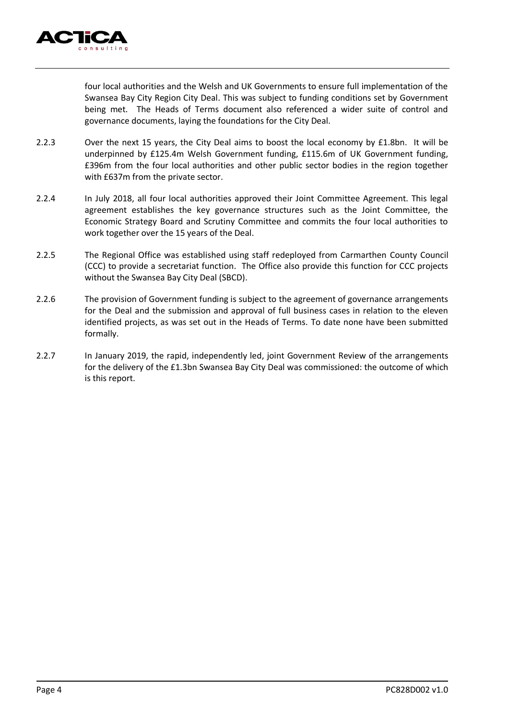

four local authorities and the Welsh and UK Governments to ensure full implementation of the Swansea Bay City Region City Deal. This was subject to funding conditions set by Government being met. The Heads of Terms document also referenced a wider suite of control and governance documents, laying the foundations for the City Deal.

- 2.2.3 Over the next 15 years, the City Deal aims to boost the local economy by £1.8bn. It will be underpinned by £125.4m Welsh Government funding, £115.6m of UK Government funding, £396m from the four local authorities and other public sector bodies in the region together with £637m from the private sector.
- 2.2.4 In July 2018, all four local authorities approved their Joint Committee Agreement. This legal agreement establishes the key governance structures such as the Joint Committee, the Economic Strategy Board and Scrutiny Committee and commits the four local authorities to work together over the 15 years of the Deal.
- 2.2.5 The Regional Office was established using staff redeployed from Carmarthen County Council (CCC) to provide a secretariat function. The Office also provide this function for CCC projects without the Swansea Bay City Deal (SBCD).
- 2.2.6 The provision of Government funding is subject to the agreement of governance arrangements for the Deal and the submission and approval of full business cases in relation to the eleven identified projects, as was set out in the Heads of Terms. To date none have been submitted formally.
- 2.2.7 In January 2019, the rapid, independently led, joint Government Review of the arrangements for the delivery of the £1.3bn Swansea Bay City Deal was commissioned: the outcome of which is this report.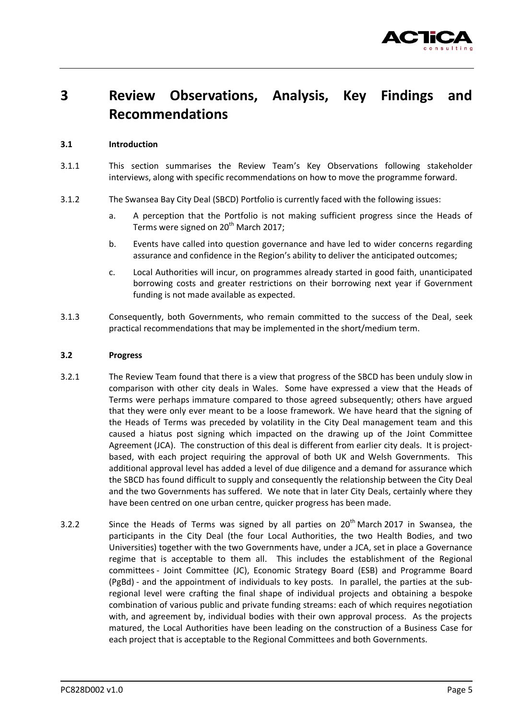

# **3 Review Observations, Analysis, Key Findings and Recommendations**

## **3.1 Introduction**

- 3.1.1 This section summarises the Review Team's Key Observations following stakeholder interviews, along with specific recommendations on how to move the programme forward.
- 3.1.2 The Swansea Bay City Deal (SBCD) Portfolio is currently faced with the following issues:
	- a. A perception that the Portfolio is not making sufficient progress since the Heads of Terms were signed on  $20^{th}$  March 2017;
	- b. Events have called into question governance and have led to wider concerns regarding assurance and confidence in the Region's ability to deliver the anticipated outcomes;
	- c. Local Authorities will incur, on programmes already started in good faith, unanticipated borrowing costs and greater restrictions on their borrowing next year if Government funding is not made available as expected.
- 3.1.3 Consequently, both Governments, who remain committed to the success of the Deal, seek practical recommendations that may be implemented in the short/medium term.

#### **3.2 Progress**

- 3.2.1 The Review Team found that there is a view that progress of the SBCD has been unduly slow in comparison with other city deals in Wales. Some have expressed a view that the Heads of Terms were perhaps immature compared to those agreed subsequently; others have argued that they were only ever meant to be a loose framework. We have heard that the signing of the Heads of Terms was preceded by volatility in the City Deal management team and this caused a hiatus post signing which impacted on the drawing up of the Joint Committee Agreement (JCA). The construction of this deal is different from earlier city deals. It is projectbased, with each project requiring the approval of both UK and Welsh Governments. This additional approval level has added a level of due diligence and a demand for assurance which the SBCD has found difficult to supply and consequently the relationship between the City Deal and the two Governments has suffered. We note that in later City Deals, certainly where they have been centred on one urban centre, quicker progress has been made.
- 3.2.2 Since the Heads of Terms was signed by all parties on  $20<sup>th</sup>$  March 2017 in Swansea, the participants in the City Deal (the four Local Authorities, the two Health Bodies, and two Universities) together with the two Governments have, under a JCA, set in place a Governance regime that is acceptable to them all. This includes the establishment of the Regional committees - Joint Committee (JC), Economic Strategy Board (ESB) and Programme Board (PgBd) - and the appointment of individuals to key posts. In parallel, the parties at the subregional level were crafting the final shape of individual projects and obtaining a bespoke combination of various public and private funding streams: each of which requires negotiation with, and agreement by, individual bodies with their own approval process. As the projects matured, the Local Authorities have been leading on the construction of a Business Case for each project that is acceptable to the Regional Committees and both Governments.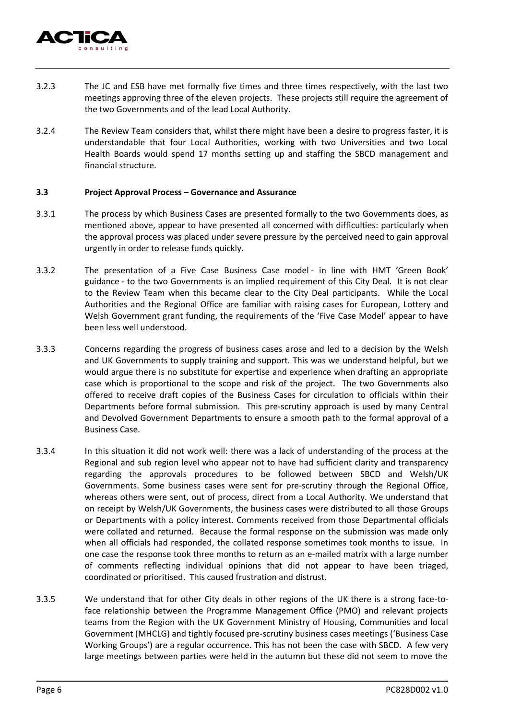

- 3.2.3 The JC and ESB have met formally five times and three times respectively, with the last two meetings approving three of the eleven projects. These projects still require the agreement of the two Governments and of the lead Local Authority.
- 3.2.4 The Review Team considers that, whilst there might have been a desire to progress faster, it is understandable that four Local Authorities, working with two Universities and two Local Health Boards would spend 17 months setting up and staffing the SBCD management and financial structure.

### **3.3 Project Approval Process – Governance and Assurance**

- 3.3.1 The process by which Business Cases are presented formally to the two Governments does, as mentioned above, appear to have presented all concerned with difficulties: particularly when the approval process was placed under severe pressure by the perceived need to gain approval urgently in order to release funds quickly.
- 3.3.2 The presentation of a Five Case Business Case model in line with HMT 'Green Book' guidance - to the two Governments is an implied requirement of this City Deal. It is not clear to the Review Team when this became clear to the City Deal participants. While the Local Authorities and the Regional Office are familiar with raising cases for European, Lottery and Welsh Government grant funding, the requirements of the 'Five Case Model' appear to have been less well understood.
- 3.3.3 Concerns regarding the progress of business cases arose and led to a decision by the Welsh and UK Governments to supply training and support. This was we understand helpful, but we would argue there is no substitute for expertise and experience when drafting an appropriate case which is proportional to the scope and risk of the project. The two Governments also offered to receive draft copies of the Business Cases for circulation to officials within their Departments before formal submission. This pre-scrutiny approach is used by many Central and Devolved Government Departments to ensure a smooth path to the formal approval of a Business Case.
- 3.3.4 In this situation it did not work well: there was a lack of understanding of the process at the Regional and sub region level who appear not to have had sufficient clarity and transparency regarding the approvals procedures to be followed between SBCD and Welsh/UK Governments. Some business cases were sent for pre-scrutiny through the Regional Office, whereas others were sent, out of process, direct from a Local Authority. We understand that on receipt by Welsh/UK Governments, the business cases were distributed to all those Groups or Departments with a policy interest. Comments received from those Departmental officials were collated and returned. Because the formal response on the submission was made only when all officials had responded, the collated response sometimes took months to issue. In one case the response took three months to return as an e-mailed matrix with a large number of comments reflecting individual opinions that did not appear to have been triaged, coordinated or prioritised. This caused frustration and distrust.
- 3.3.5 We understand that for other City deals in other regions of the UK there is a strong face-toface relationship between the Programme Management Office (PMO) and relevant projects teams from the Region with the UK Government Ministry of Housing, Communities and local Government (MHCLG) and tightly focused pre-scrutiny business cases meetings ('Business Case Working Groups') are a regular occurrence. This has not been the case with SBCD. A few very large meetings between parties were held in the autumn but these did not seem to move the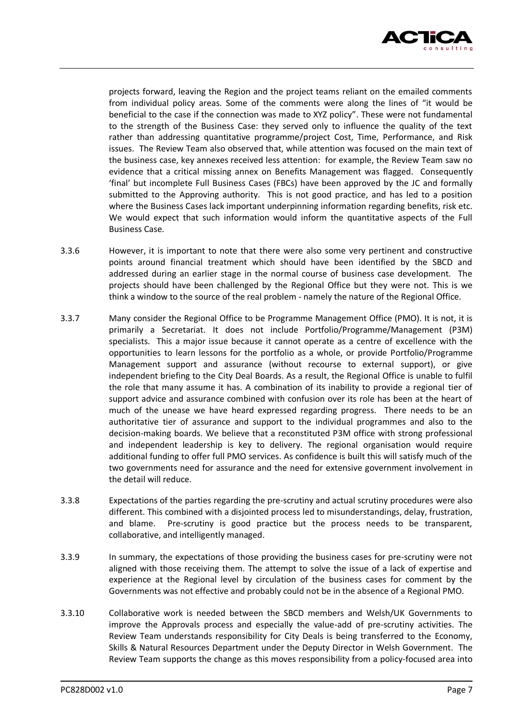

projects forward, leaving the Region and the project teams reliant on the emailed comments from individual policy areas. Some of the comments were along the lines of "it would be beneficial to the case if the connection was made to XYZ policy". These were not fundamental to the strength of the Business Case: they served only to influence the quality of the text rather than addressing quantitative programme/project Cost, Time, Performance, and Risk issues. The Review Team also observed that, while attention was focused on the main text of the business case, key annexes received less attention: for example, the Review Team saw no evidence that a critical missing annex on Benefits Management was flagged. Consequently 'final' but incomplete Full Business Cases (FBCs) have been approved by the JC and formally submitted to the Approving authority. This is not good practice, and has led to a position where the Business Cases lack important underpinning information regarding benefits, risk etc. We would expect that such information would inform the quantitative aspects of the Full Business Case.

- 3.3.6 However, it is important to note that there were also some very pertinent and constructive points around financial treatment which should have been identified by the SBCD and addressed during an earlier stage in the normal course of business case development. The projects should have been challenged by the Regional Office but they were not. This is we think a window to the source of the real problem - namely the nature of the Regional Office.
- 3.3.7 Many consider the Regional Office to be Programme Management Office (PMO). It is not, it is primarily a Secretariat. It does not include Portfolio/Programme/Management (P3M) specialists. This a major issue because it cannot operate as a centre of excellence with the opportunities to learn lessons for the portfolio as a whole, or provide Portfolio/Programme Management support and assurance (without recourse to external support), or give independent briefing to the City Deal Boards. As a result, the Regional Office is unable to fulfil the role that many assume it has. A combination of its inability to provide a regional tier of support advice and assurance combined with confusion over its role has been at the heart of much of the unease we have heard expressed regarding progress. There needs to be an authoritative tier of assurance and support to the individual programmes and also to the decision-making boards. We believe that a reconstituted P3M office with strong professional and independent leadership is key to delivery. The regional organisation would require additional funding to offer full PMO services. As confidence is built this will satisfy much of the two governments need for assurance and the need for extensive government involvement in the detail will reduce.
- 3.3.8 Expectations of the parties regarding the pre-scrutiny and actual scrutiny procedures were also different. This combined with a disjointed process led to misunderstandings, delay, frustration, and blame. Pre-scrutiny is good practice but the process needs to be transparent, collaborative, and intelligently managed.
- 3.3.9 In summary, the expectations of those providing the business cases for pre-scrutiny were not aligned with those receiving them. The attempt to solve the issue of a lack of expertise and experience at the Regional level by circulation of the business cases for comment by the Governments was not effective and probably could not be in the absence of a Regional PMO.
- 3.3.10 Collaborative work is needed between the SBCD members and Welsh/UK Governments to improve the Approvals process and especially the value-add of pre-scrutiny activities. The Review Team understands responsibility for City Deals is being transferred to the Economy, Skills & Natural Resources Department under the Deputy Director in Welsh Government. The Review Team supports the change as this moves responsibility from a policy-focused area into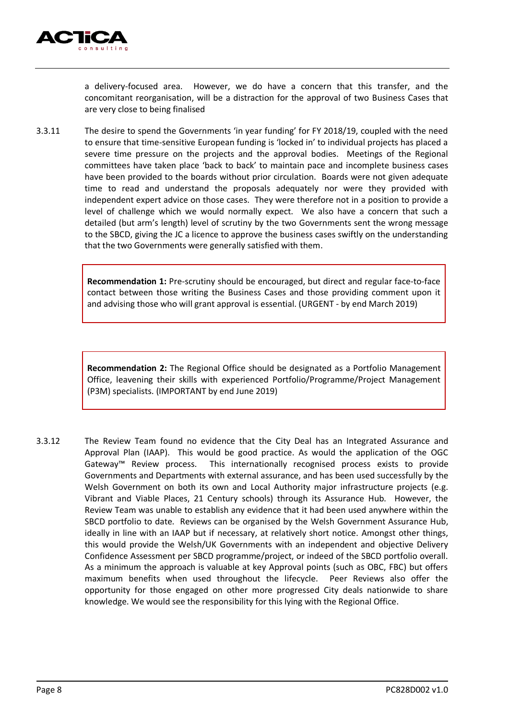

a delivery-focused area. However, we do have a concern that this transfer, and the concomitant reorganisation, will be a distraction for the approval of two Business Cases that are very close to being finalised

3.3.11 The desire to spend the Governments 'in year funding' for FY 2018/19, coupled with the need to ensure that time-sensitive European funding is 'locked in' to individual projects has placed a severe time pressure on the projects and the approval bodies. Meetings of the Regional committees have taken place 'back to back' to maintain pace and incomplete business cases have been provided to the boards without prior circulation. Boards were not given adequate time to read and understand the proposals adequately nor were they provided with independent expert advice on those cases. They were therefore not in a position to provide a level of challenge which we would normally expect. We also have a concern that such a detailed (but arm's length) level of scrutiny by the two Governments sent the wrong message to the SBCD, giving the JC a licence to approve the business cases swiftly on the understanding that the two Governments were generally satisfied with them.

> **Recommendation 1:** Pre-scrutiny should be encouraged, but direct and regular face-to-face contact between those writing the Business Cases and those providing comment upon it and advising those who will grant approval is essential. (URGENT - by end March 2019)

> **Recommendation 2:** The Regional Office should be designated as a Portfolio Management Office, leavening their skills with experienced Portfolio/Programme/Project Management (P3M) specialists. (IMPORTANT by end June 2019)

3.3.12 The Review Team found no evidence that the City Deal has an Integrated Assurance and Approval Plan (IAAP). This would be good practice. As would the application of the OGC Gateway™ Review process. This internationally recognised process exists to provide Governments and Departments with external assurance, and has been used successfully by the Welsh Government on both its own and Local Authority major infrastructure projects (e.g. Vibrant and Viable Places, 21 Century schools) through its Assurance Hub. However, the Review Team was unable to establish any evidence that it had been used anywhere within the SBCD portfolio to date. Reviews can be organised by the Welsh Government Assurance Hub, ideally in line with an IAAP but if necessary, at relatively short notice. Amongst other things, this would provide the Welsh/UK Governments with an independent and objective Delivery Confidence Assessment per SBCD programme/project, or indeed of the SBCD portfolio overall. As a minimum the approach is valuable at key Approval points (such as OBC, FBC) but offers maximum benefits when used throughout the lifecycle. Peer Reviews also offer the opportunity for those engaged on other more progressed City deals nationwide to share knowledge. We would see the responsibility for this lying with the Regional Office.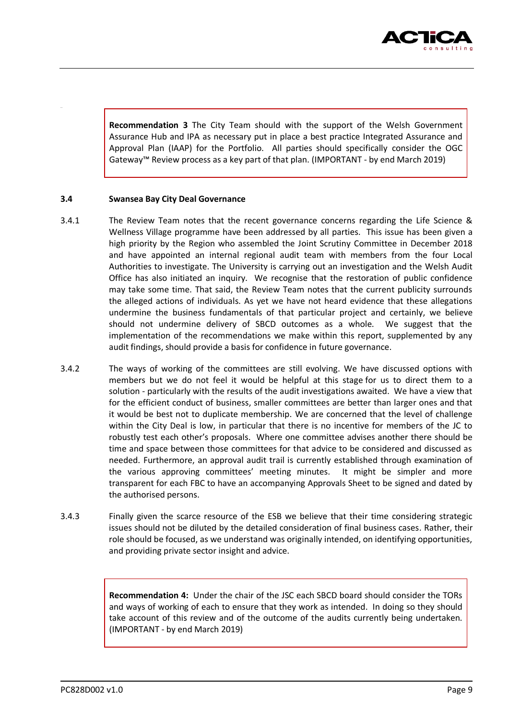

**Recommendation 3** The City Team should with the support of the Welsh Government Assurance Hub and IPA as necessary put in place a best practice Integrated Assurance and Approval Plan (IAAP) for the Portfolio. All parties should specifically consider the OGC Gateway™ Review process as a key part of that plan. (IMPORTANT - by end March 2019)

#### **3.4 Swansea Bay City Deal Governance**

- 3.4.1 The Review Team notes that the recent governance concerns regarding the Life Science & Wellness Village programme have been addressed by all parties. This issue has been given a high priority by the Region who assembled the Joint Scrutiny Committee in December 2018 and have appointed an internal regional audit team with members from the four Local Authorities to investigate. The University is carrying out an investigation and the Welsh Audit Office has also initiated an inquiry. We recognise that the restoration of public confidence may take some time. That said, the Review Team notes that the current publicity surrounds the alleged actions of individuals. As yet we have not heard evidence that these allegations undermine the business fundamentals of that particular project and certainly, we believe should not undermine delivery of SBCD outcomes as a whole. We suggest that the implementation of the recommendations we make within this report, supplemented by any audit findings, should provide a basis for confidence in future governance.
- 3.4.2 The ways of working of the committees are still evolving. We have discussed options with members but we do not feel it would be helpful at this stage for us to direct them to a solution - particularly with the results of the audit investigations awaited. We have a view that for the efficient conduct of business, smaller committees are better than larger ones and that it would be best not to duplicate membership. We are concerned that the level of challenge within the City Deal is low, in particular that there is no incentive for members of the JC to robustly test each other's proposals. Where one committee advises another there should be time and space between those committees for that advice to be considered and discussed as needed. Furthermore, an approval audit trail is currently established through examination of the various approving committees' meeting minutes. It might be simpler and more transparent for each FBC to have an accompanying Approvals Sheet to be signed and dated by the authorised persons.
- 3.4.3 Finally given the scarce resource of the ESB we believe that their time considering strategic issues should not be diluted by the detailed consideration of final business cases. Rather, their role should be focused, as we understand was originally intended, on identifying opportunities, and providing private sector insight and advice.

**Recommendation 4:** Under the chair of the JSC each SBCD board should consider the TORs and ways of working of each to ensure that they work as intended. In doing so they should take account of this review and of the outcome of the audits currently being undertaken. (IMPORTANT - by end March 2019)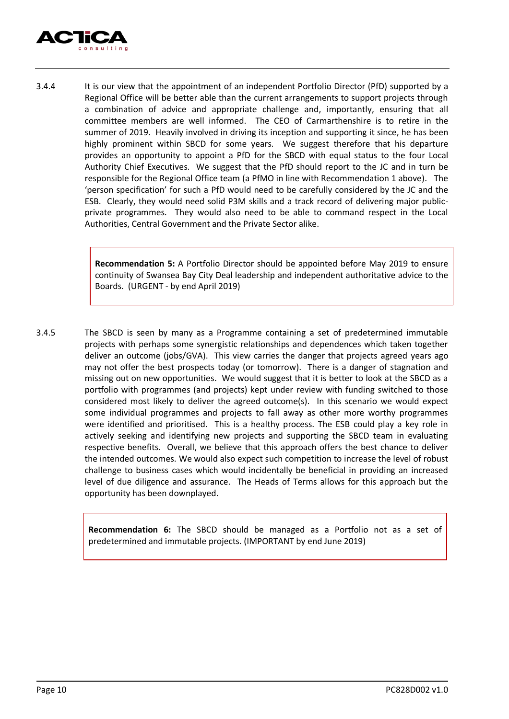

3.4.4 It is our view that the appointment of an independent Portfolio Director (PfD) supported by a Regional Office will be better able than the current arrangements to support projects through a combination of advice and appropriate challenge and, importantly, ensuring that all committee members are well informed. The CEO of Carmarthenshire is to retire in the summer of 2019. Heavily involved in driving its inception and supporting it since, he has been highly prominent within SBCD for some years. We suggest therefore that his departure provides an opportunity to appoint a PfD for the SBCD with equal status to the four Local Authority Chief Executives. We suggest that the PfD should report to the JC and in turn be responsible for the Regional Office team (a PfMO in line with Recommendation 1 above). The 'person specification' for such a PfD would need to be carefully considered by the JC and the ESB. Clearly, they would need solid P3M skills and a track record of delivering major publicprivate programmes. They would also need to be able to command respect in the Local Authorities, Central Government and the Private Sector alike.

> **Recommendation 5:** A Portfolio Director should be appointed before May 2019 to ensure continuity of Swansea Bay City Deal leadership and independent authoritative advice to the Boards. (URGENT - by end April 2019)

3.4.5 The SBCD is seen by many as a Programme containing a set of predetermined immutable projects with perhaps some synergistic relationships and dependences which taken together deliver an outcome (jobs/GVA). This view carries the danger that projects agreed years ago may not offer the best prospects today (or tomorrow). There is a danger of stagnation and missing out on new opportunities. We would suggest that it is better to look at the SBCD as a portfolio with programmes (and projects) kept under review with funding switched to those considered most likely to deliver the agreed outcome(s). In this scenario we would expect some individual programmes and projects to fall away as other more worthy programmes were identified and prioritised. This is a healthy process. The ESB could play a key role in actively seeking and identifying new projects and supporting the SBCD team in evaluating respective benefits. Overall, we believe that this approach offers the best chance to deliver the intended outcomes. We would also expect such competition to increase the level of robust challenge to business cases which would incidentally be beneficial in providing an increased level of due diligence and assurance. The Heads of Terms allows for this approach but the opportunity has been downplayed.

> **Recommendation 6:** The SBCD should be managed as a Portfolio not as a set of predetermined and immutable projects. (IMPORTANT by end June 2019)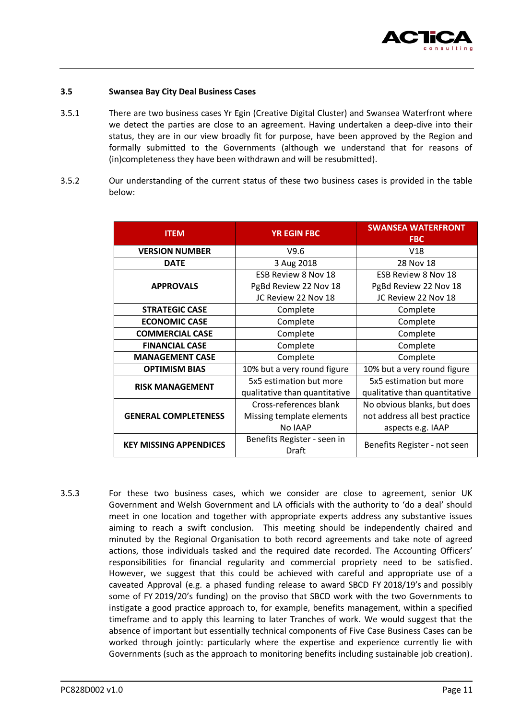

#### **3.5 Swansea Bay City Deal Business Cases**

- 3.5.1 There are two business cases Yr Egin (Creative Digital Cluster) and Swansea Waterfront where we detect the parties are close to an agreement. Having undertaken a deep-dive into their status, they are in our view broadly fit for purpose, have been approved by the Region and formally submitted to the Governments (although we understand that for reasons of (in)completeness they have been withdrawn and will be resubmitted).
- 3.5.2 Our understanding of the current status of these two business cases is provided in the table below:

| <b>ITEM</b>                   | <b>YR EGIN FBC</b>                   | <b>SWANSEA WATERFRONT</b><br><b>FBC</b> |
|-------------------------------|--------------------------------------|-----------------------------------------|
| <b>VERSION NUMBER</b>         | V9.6                                 | V18                                     |
| <b>DATE</b>                   | 3 Aug 2018                           | 28 Nov 18                               |
|                               | <b>ESB Review 8 Nov 18</b>           | <b>ESB Review 8 Nov 18</b>              |
| <b>APPROVALS</b>              | PgBd Review 22 Nov 18                | PgBd Review 22 Nov 18                   |
|                               | JC Review 22 Nov 18                  | JC Review 22 Nov 18                     |
| <b>STRATEGIC CASE</b>         | Complete                             | Complete                                |
| <b>ECONOMIC CASE</b>          | Complete                             | Complete                                |
| <b>COMMERCIAL CASE</b>        | Complete                             | Complete                                |
| <b>FINANCIAL CASE</b>         | Complete                             | Complete                                |
| <b>MANAGEMENT CASE</b>        | Complete                             | Complete                                |
| <b>OPTIMISM BIAS</b>          | 10% but a very round figure          | 10% but a very round figure             |
| <b>RISK MANAGEMENT</b>        | 5x5 estimation but more              | 5x5 estimation but more                 |
|                               | qualitative than quantitative        | qualitative than quantitative           |
|                               | Cross-references blank               | No obvious blanks, but does             |
| <b>GENERAL COMPLETENESS</b>   | Missing template elements            | not address all best practice           |
|                               | No IAAP                              | aspects e.g. IAAP                       |
| <b>KEY MISSING APPENDICES</b> | Benefits Register - seen in<br>Draft | Benefits Register - not seen            |

3.5.3 For these two business cases, which we consider are close to agreement, senior UK Government and Welsh Government and LA officials with the authority to 'do a deal' should meet in one location and together with appropriate experts address any substantive issues aiming to reach a swift conclusion. This meeting should be independently chaired and minuted by the Regional Organisation to both record agreements and take note of agreed actions, those individuals tasked and the required date recorded. The Accounting Officers' responsibilities for financial regularity and commercial propriety need to be satisfied. However, we suggest that this could be achieved with careful and appropriate use of a caveated Approval (e.g. a phased funding release to award SBCD FY 2018/19's and possibly some of FY 2019/20's funding) on the proviso that SBCD work with the two Governments to instigate a good practice approach to, for example, benefits management, within a specified timeframe and to apply this learning to later Tranches of work. We would suggest that the absence of important but essentially technical components of Five Case Business Cases can be worked through jointly: particularly where the expertise and experience currently lie with Governments (such as the approach to monitoring benefits including sustainable job creation).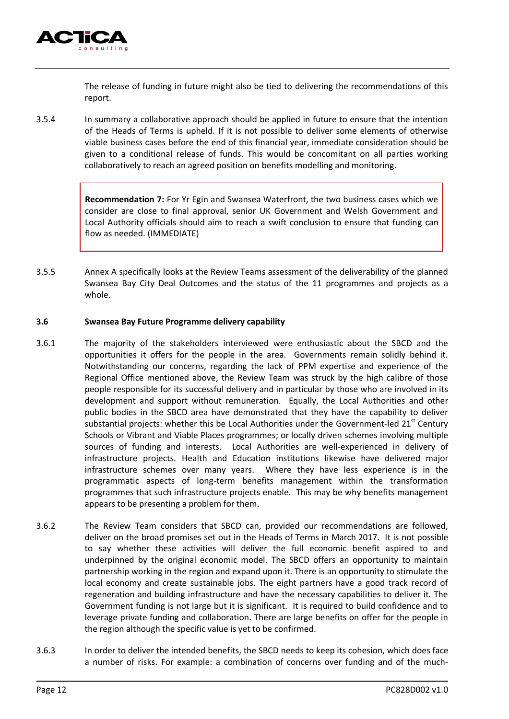

The release of funding in future might also be tied to delivering the recommendations of this report.

3.5.4 In summary a collaborative approach should be applied in future to ensure that the intention of the Heads of Terms is upheld. If it is not possible to deliver some elements of otherwise viable business cases before the end of this financial year, immediate consideration should be given to a conditional release of funds. This would be concomitant on all parties working collaboratively to reach an agreed position on benefits modelling and monitoring.

> **Recommendation 7:** For Yr Egin and Swansea Waterfront, the two business cases which we consider are close to final approval, senior UK Government and Welsh Government and Local Authority officials should aim to reach a swift conclusion to ensure that funding can flow as needed. (IMMEDIATE)

3.5.5 Annex A specifically looks at the Review Teams assessment of the deliverability of the planned Swansea Bay City Deal Outcomes and the status of the 11 programmes and projects as a whole.

### **3.6 Swansea Bay Future Programme delivery capability**

- 3.6.1 The majority of the stakeholders interviewed were enthusiastic about the SBCD and the opportunities it offers for the people in the area. Governments remain solidly behind it. Notwithstanding our concerns, regarding the lack of PPM expertise and experience of the Regional Office mentioned above, the Review Team was struck by the high calibre of those people responsible for its successful delivery and in particular by those who are involved in its development and support without remuneration. Equally, the Local Authorities and other public bodies in the SBCD area have demonstrated that they have the capability to deliver substantial projects: whether this be Local Authorities under the Government-led  $21<sup>st</sup>$  Century Schools or Vibrant and Viable Places programmes; or locally driven schemes involving multiple sources of funding and interests. Local Authorities are well-experienced in delivery of infrastructure projects. Health and Education institutions likewise have delivered major infrastructure schemes over many years. Where they have less experience is in the programmatic aspects of long-term benefits management within the transformation programmes that such infrastructure projects enable. This may be why benefits management appears to be presenting a problem for them.
- 3.6.2 The Review Team considers that SBCD can, provided our recommendations are followed, deliver on the broad promises set out in the Heads of Terms in March 2017. It is not possible to say whether these activities will deliver the full economic benefit aspired to and underpinned by the original economic model. The SBCD offers an opportunity to maintain partnership working in the region and expand upon it. There is an opportunity to stimulate the local economy and create sustainable jobs. The eight partners have a good track record of regeneration and building infrastructure and have the necessary capabilities to deliver it. The Government funding is not large but it is significant. It is required to build confidence and to leverage private funding and collaboration. There are large benefits on offer for the people in the region although the specific value is yet to be confirmed.
- 3.6.3 In order to deliver the intended benefits, the SBCD needs to keep its cohesion, which does face a number of risks. For example: a combination of concerns over funding and of the much-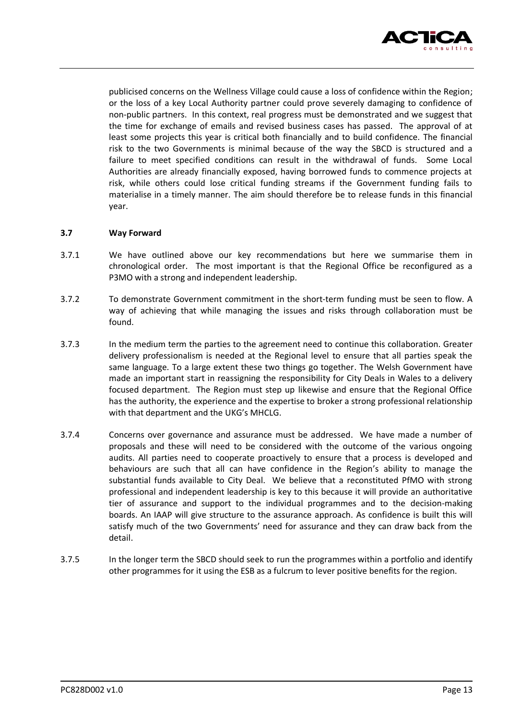

publicised concerns on the Wellness Village could cause a loss of confidence within the Region; or the loss of a key Local Authority partner could prove severely damaging to confidence of non-public partners. In this context, real progress must be demonstrated and we suggest that the time for exchange of emails and revised business cases has passed. The approval of at least some projects this year is critical both financially and to build confidence. The financial risk to the two Governments is minimal because of the way the SBCD is structured and a failure to meet specified conditions can result in the withdrawal of funds. Some Local Authorities are already financially exposed, having borrowed funds to commence projects at risk, while others could lose critical funding streams if the Government funding fails to materialise in a timely manner. The aim should therefore be to release funds in this financial year.

#### **3.7 Way Forward**

- 3.7.1 We have outlined above our key recommendations but here we summarise them in chronological order. The most important is that the Regional Office be reconfigured as a P3MO with a strong and independent leadership.
- 3.7.2 To demonstrate Government commitment in the short-term funding must be seen to flow. A way of achieving that while managing the issues and risks through collaboration must be found.
- 3.7.3 In the medium term the parties to the agreement need to continue this collaboration. Greater delivery professionalism is needed at the Regional level to ensure that all parties speak the same language. To a large extent these two things go together. The Welsh Government have made an important start in reassigning the responsibility for City Deals in Wales to a delivery focused department. The Region must step up likewise and ensure that the Regional Office has the authority, the experience and the expertise to broker a strong professional relationship with that department and the UKG's MHCLG.
- 3.7.4 Concerns over governance and assurance must be addressed. We have made a number of proposals and these will need to be considered with the outcome of the various ongoing audits. All parties need to cooperate proactively to ensure that a process is developed and behaviours are such that all can have confidence in the Region's ability to manage the substantial funds available to City Deal. We believe that a reconstituted PfMO with strong professional and independent leadership is key to this because it will provide an authoritative tier of assurance and support to the individual programmes and to the decision-making boards. An IAAP will give structure to the assurance approach. As confidence is built this will satisfy much of the two Governments' need for assurance and they can draw back from the detail.
- 3.7.5 In the longer term the SBCD should seek to run the programmes within a portfolio and identify other programmes for it using the ESB as a fulcrum to lever positive benefits for the region.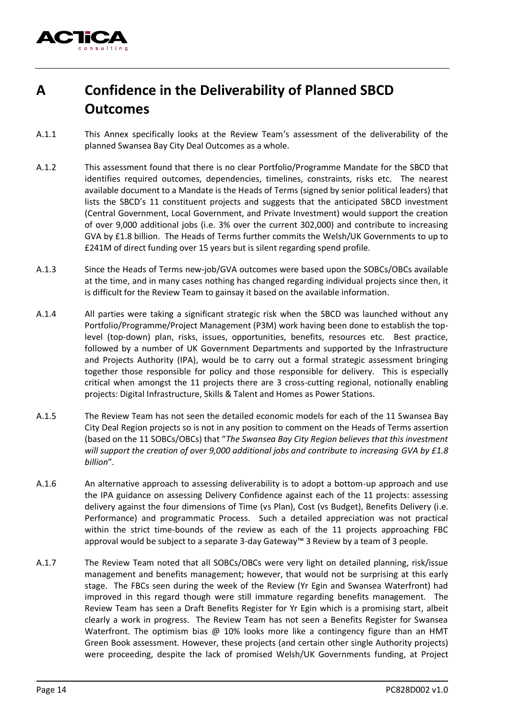

# **A Confidence in the Deliverability of Planned SBCD Outcomes**

- A.1.1 This Annex specifically looks at the Review Team's assessment of the deliverability of the planned Swansea Bay City Deal Outcomes as a whole.
- A.1.2 This assessment found that there is no clear Portfolio/Programme Mandate for the SBCD that identifies required outcomes, dependencies, timelines, constraints, risks etc. The nearest available document to a Mandate is the Heads of Terms (signed by senior political leaders) that lists the SBCD's 11 constituent projects and suggests that the anticipated SBCD investment (Central Government, Local Government, and Private Investment) would support the creation of over 9,000 additional jobs (i.e. 3% over the current 302,000) and contribute to increasing GVA by £1.8 billion. The Heads of Terms further commits the Welsh/UK Governments to up to £241M of direct funding over 15 years but is silent regarding spend profile.
- A.1.3 Since the Heads of Terms new-job/GVA outcomes were based upon the SOBCs/OBCs available at the time, and in many cases nothing has changed regarding individual projects since then, it is difficult for the Review Team to gainsay it based on the available information.
- A.1.4 All parties were taking a significant strategic risk when the SBCD was launched without any Portfolio/Programme/Project Management (P3M) work having been done to establish the toplevel (top-down) plan, risks, issues, opportunities, benefits, resources etc. Best practice, followed by a number of UK Government Departments and supported by the Infrastructure and Projects Authority (IPA), would be to carry out a formal strategic assessment bringing together those responsible for policy and those responsible for delivery. This is especially critical when amongst the 11 projects there are 3 cross-cutting regional, notionally enabling projects: Digital Infrastructure, Skills & Talent and Homes as Power Stations.
- A.1.5 The Review Team has not seen the detailed economic models for each of the 11 Swansea Bay City Deal Region projects so is not in any position to comment on the Heads of Terms assertion (based on the 11 SOBCs/OBCs) that "*The Swansea Bay City Region believes that this investment will support the creation of over 9,000 additional jobs and contribute to increasing GVA by £1.8 billion*".
- A.1.6 An alternative approach to assessing deliverability is to adopt a bottom-up approach and use the IPA guidance on assessing Delivery Confidence against each of the 11 projects: assessing delivery against the four dimensions of Time (vs Plan), Cost (vs Budget), Benefits Delivery (i.e. Performance) and programmatic Process. Such a detailed appreciation was not practical within the strict time-bounds of the review as each of the 11 projects approaching FBC approval would be subject to a separate 3-day Gateway™ 3 Review by a team of 3 people.
- A.1.7 The Review Team noted that all SOBCs/OBCs were very light on detailed planning, risk/issue management and benefits management; however, that would not be surprising at this early stage. The FBCs seen during the week of the Review (Yr Egin and Swansea Waterfront) had improved in this regard though were still immature regarding benefits management. The Review Team has seen a Draft Benefits Register for Yr Egin which is a promising start, albeit clearly a work in progress. The Review Team has not seen a Benefits Register for Swansea Waterfront. The optimism bias  $\omega$  10% looks more like a contingency figure than an HMT Green Book assessment. However, these projects (and certain other single Authority projects) were proceeding, despite the lack of promised Welsh/UK Governments funding, at Project